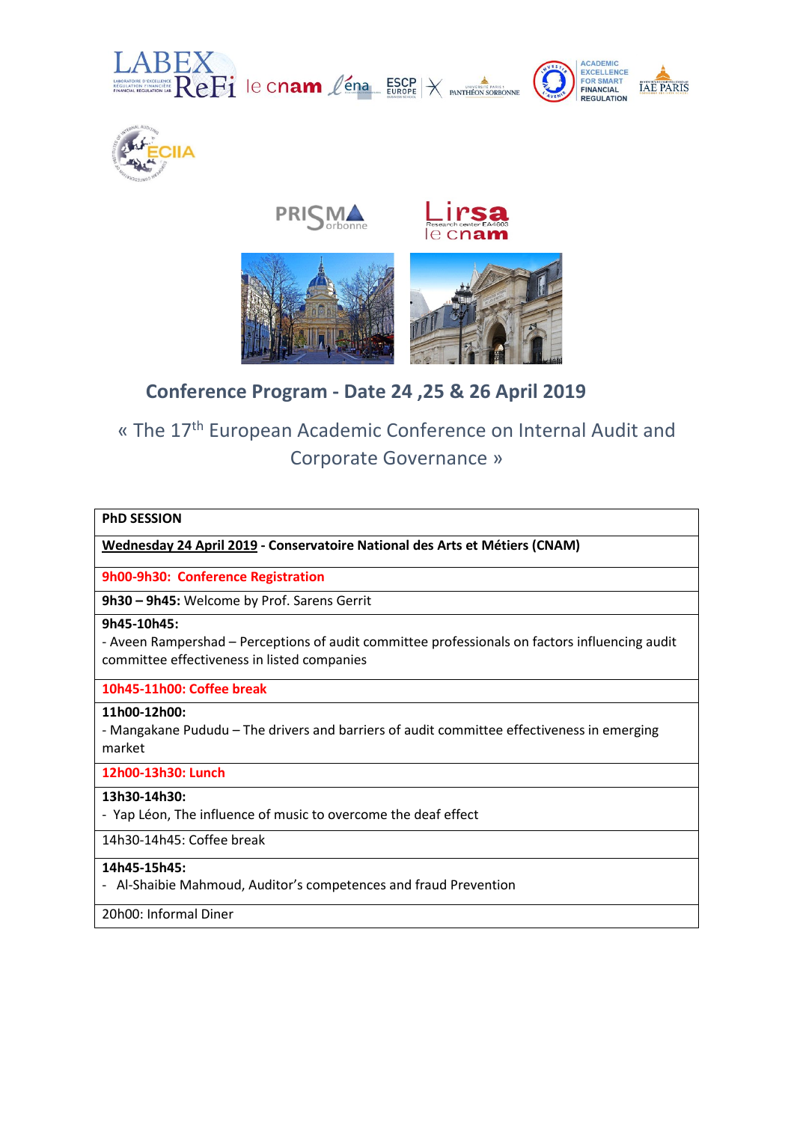









# **Conference Program - Date 24 ,25 & 26 April 2019**

# « The 17th European Academic Conference on Internal Audit and Corporate Governance »

# **PhD SESSION**

**Wednesday 24 April 2019 - Conservatoire National des Arts et Métiers (CNAM)**

**9h00-9h30: Conference Registration**

**9h30 – 9h45:** Welcome by Prof. Sarens Gerrit

# **9h45-10h45:**

- Aveen Rampershad – Perceptions of audit committee professionals on factors influencing audit committee effectiveness in listed companies

# **10h45-11h00: Coffee break**

# **11h00-12h00:**

- Mangakane Pududu – The drivers and barriers of audit committee effectiveness in emerging market

# **12h00-13h30: Lunch**

# **13h30-14h30:**

- Yap Léon, The influence of music to overcome the deaf effect

14h30-14h45: Coffee break

# **14h45-15h45:**

- Al-Shaibie Mahmoud, Auditor's competences and fraud Prevention

20h00: Informal Diner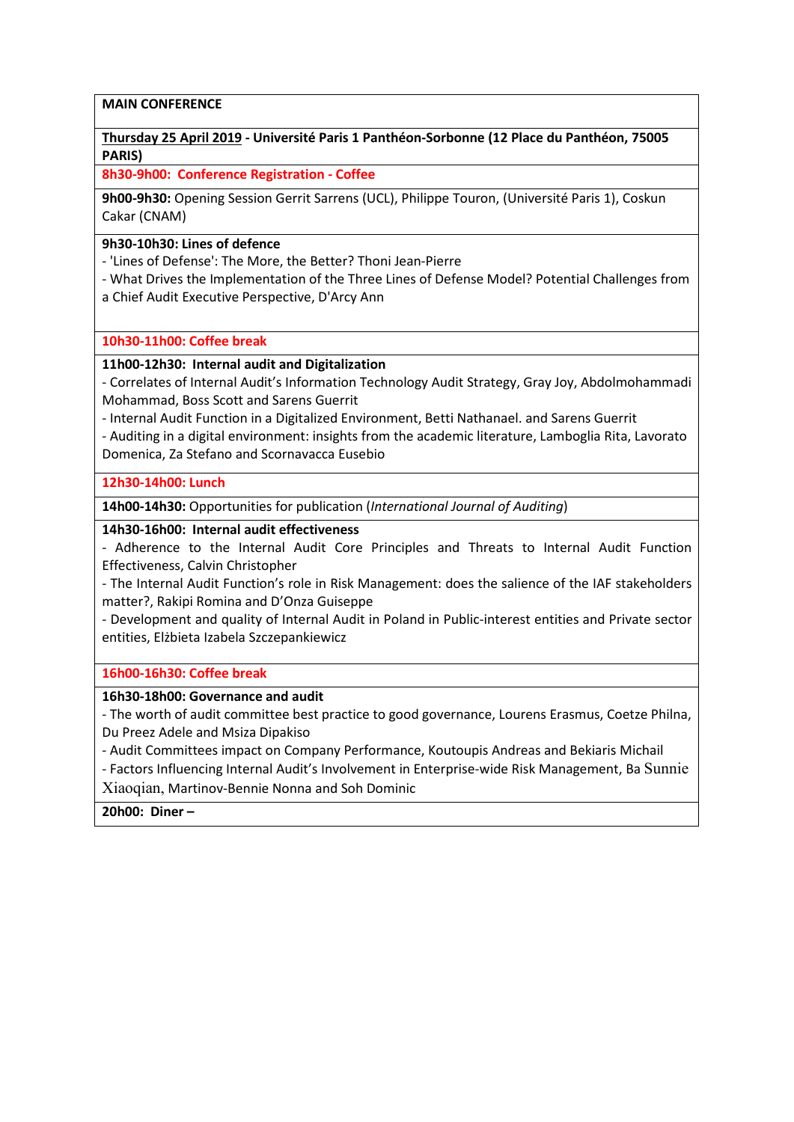# **MAIN CONFERENCE**

# **Thursday 25 April 2019 - Université Paris 1 Panthéon-Sorbonne (12 Place du Panthéon, 75005 PARIS)**

**8h30-9h00: Conference Registration - Coffee**

**9h00-9h30:** Opening Session Gerrit Sarrens (UCL), Philippe Touron, (Université Paris 1), Coskun Cakar (CNAM)

# **9h30-10h30: Lines of defence**

- 'Lines of Defense': The More, the Better? Thoni Jean-Pierre

- What Drives the Implementation of the Three Lines of Defense Model? Potential Challenges from a Chief Audit Executive Perspective, D'Arcy Ann

# **10h30-11h00: Coffee break**

# **11h00-12h30: Internal audit and Digitalization**

- Correlates of Internal Audit's Information Technology Audit Strategy, Gray Joy, Abdolmohammadi Mohammad, Boss Scott and Sarens Guerrit

- Internal Audit Function in a Digitalized Environment, Betti Nathanael. and Sarens Guerrit

- Auditing in a digital environment: insights from the academic literature, Lamboglia Rita, Lavorato Domenica, Za Stefano and Scornavacca Eusebio

# **12h30-14h00: Lunch**

**14h00-14h30:** Opportunities for publication (*International Journal of Auditing*)

# **14h30-16h00: Internal audit effectiveness**

- Adherence to the Internal Audit Core Principles and Threats to Internal Audit Function Effectiveness, Calvin Christopher

- The Internal Audit Function's role in Risk Management: does the salience of the IAF stakeholders matter?, Rakipi Romina and D'Onza Guiseppe

- Development and quality of Internal Audit in Poland in Public-interest entities and Private sector entities, Elżbieta Izabela Szczepankiewicz

# **16h00-16h30: Coffee break**

# **16h30-18h00: Governance and audit**

- The worth of audit committee best practice to good governance, Lourens Erasmus, Coetze Philna, Du Preez Adele and Msiza Dipakiso

- Audit Committees impact on Company Performance, Koutoupis Andreas and Bekiaris Michail

- Factors Influencing Internal Audit's Involvement in Enterprise-wide Risk Management, Ba Sunnie Xiaoqian, Martinov-Bennie Nonna and Soh Dominic

# **20h00: Diner –**